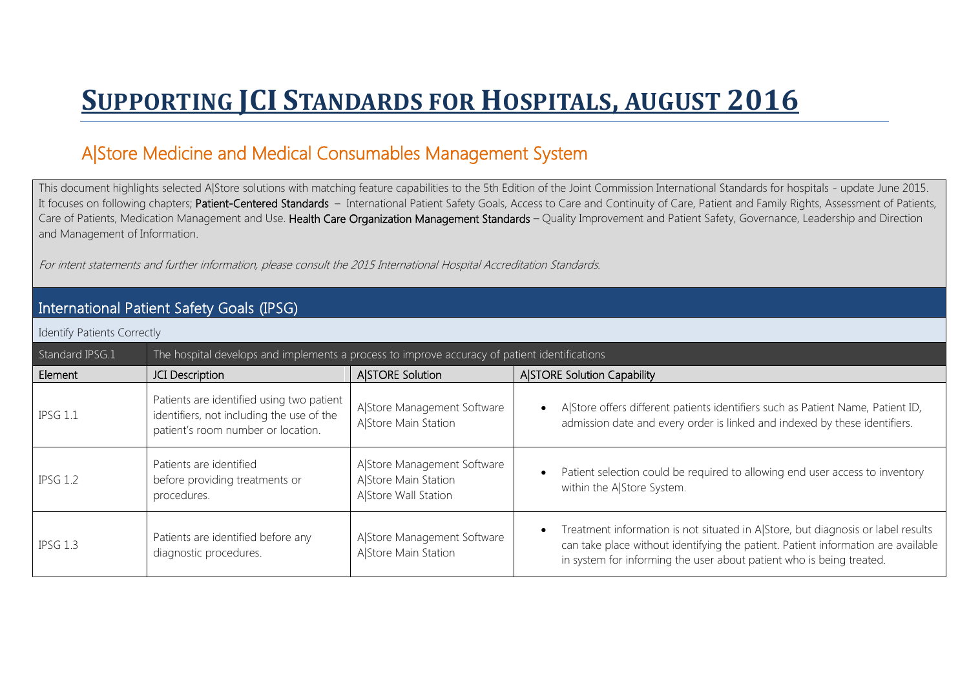## **SUPPORTING JCI STANDARDS FOR HOSPITALS, AUGUST 2016**

## A|Store Medicine and Medical Consumables Management System

This document highlights selected A|Store solutions with matching feature capabilities to the 5th Edition of the Joint Commission International Standards for hospitals - update June 2015. It focuses on following chapters; Patient-Centered Standards – International Patient Safety Goals, Access to Care and Continuity of Care, Patient and Family Rights, Assessment of Patients, Care of Patients, Medication Management and Use. Health Care Organization Management Standards - Quality Improvement and Patient Safety, Governance, Leadership and Direction and Management of Information.

For intent statements and further information, please consult the 2015 International Hospital Accreditation Standards.

## International Patient Safety Goals (IPSG)

Identify Patients Correctly

| Standard IPSG.1 | The hospital develops and implements a process to improve accuracy of patient identifications                                |                                                                             |                                                                                                                                                                                                                                               |
|-----------------|------------------------------------------------------------------------------------------------------------------------------|-----------------------------------------------------------------------------|-----------------------------------------------------------------------------------------------------------------------------------------------------------------------------------------------------------------------------------------------|
| Element         | JCI Description                                                                                                              | <b>A STORE Solution</b>                                                     | <b>A STORE Solution Capability</b>                                                                                                                                                                                                            |
| IPSG 1.1        | Patients are identified using two patient<br>identifiers, not including the use of the<br>patient's room number or location. | A Store Management Software<br>A Store Main Station                         | A Store offers different patients identifiers such as Patient Name, Patient ID,<br>admission date and every order is linked and indexed by these identifiers.                                                                                 |
| <b>IPSG 1.2</b> | Patients are identified<br>before providing treatments or<br>procedures.                                                     | A Store Management Software<br>A Store Main Station<br>AlStore Wall Station | Patient selection could be required to allowing end user access to inventory<br>within the A Store System.                                                                                                                                    |
| $IPSG$ 1.3      | Patients are identified before any<br>diagnostic procedures.                                                                 | A Store Management Software<br>A Store Main Station                         | Treatment information is not situated in A Store, but diagnosis or label results<br>can take place without identifying the patient. Patient information are available<br>in system for informing the user about patient who is being treated. |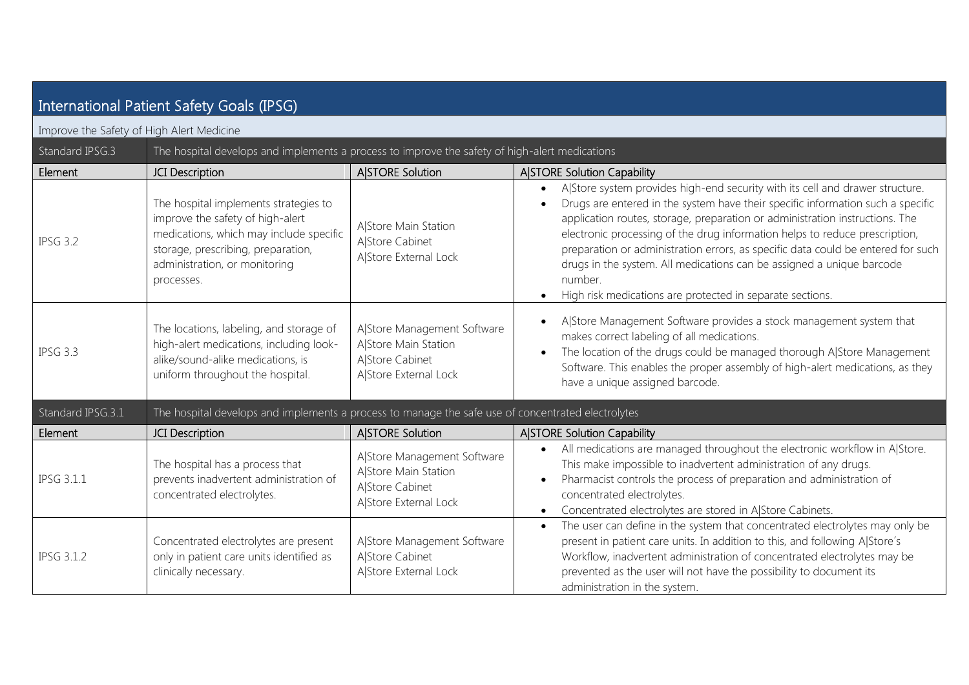| International Patient Safety Goals (IPSG) |                                                                                                                                                                                                           |                                                                                                 |                                                                                                                                                                                                                                                                                                                                                                                                                                                                                                                                                                      |  |
|-------------------------------------------|-----------------------------------------------------------------------------------------------------------------------------------------------------------------------------------------------------------|-------------------------------------------------------------------------------------------------|----------------------------------------------------------------------------------------------------------------------------------------------------------------------------------------------------------------------------------------------------------------------------------------------------------------------------------------------------------------------------------------------------------------------------------------------------------------------------------------------------------------------------------------------------------------------|--|
| Improve the Safety of High Alert Medicine |                                                                                                                                                                                                           |                                                                                                 |                                                                                                                                                                                                                                                                                                                                                                                                                                                                                                                                                                      |  |
| Standard IPSG.3                           | The hospital develops and implements a process to improve the safety of high-alert medications                                                                                                            |                                                                                                 |                                                                                                                                                                                                                                                                                                                                                                                                                                                                                                                                                                      |  |
| Element                                   | JCI Description                                                                                                                                                                                           | A STORE Solution                                                                                | A STORE Solution Capability                                                                                                                                                                                                                                                                                                                                                                                                                                                                                                                                          |  |
| <b>IPSG 3.2</b>                           | The hospital implements strategies to<br>improve the safety of high-alert<br>medications, which may include specific<br>storage, prescribing, preparation,<br>administration, or monitoring<br>processes. | A Store Main Station<br>A Store Cabinet<br>A Store External Lock                                | AlStore system provides high-end security with its cell and drawer structure.<br>Drugs are entered in the system have their specific information such a specific<br>application routes, storage, preparation or administration instructions. The<br>electronic processing of the drug information helps to reduce prescription,<br>preparation or administration errors, as specific data could be entered for such<br>drugs in the system. All medications can be assigned a unique barcode<br>number.<br>High risk medications are protected in separate sections. |  |
| <b>IPSG 3.3</b>                           | The locations, labeling, and storage of<br>high-alert medications, including look-<br>alike/sound-alike medications, is<br>uniform throughout the hospital.                                               | A Store Management Software<br>A Store Main Station<br>A Store Cabinet<br>A Store External Lock | A Store Management Software provides a stock management system that<br>makes correct labeling of all medications.<br>The location of the drugs could be managed thorough A Store Management<br>Software. This enables the proper assembly of high-alert medications, as they<br>have a unique assigned barcode.                                                                                                                                                                                                                                                      |  |
| Standard IPSG.3.1                         | The hospital develops and implements a process to manage the safe use of concentrated electrolytes                                                                                                        |                                                                                                 |                                                                                                                                                                                                                                                                                                                                                                                                                                                                                                                                                                      |  |
| Element                                   | JCI Description                                                                                                                                                                                           | <b>A STORE Solution</b>                                                                         | A STORE Solution Capability                                                                                                                                                                                                                                                                                                                                                                                                                                                                                                                                          |  |
| <b>IPSG 3.1.1</b>                         | The hospital has a process that<br>prevents inadvertent administration of<br>concentrated electrolytes.                                                                                                   | A Store Management Software<br>A Store Main Station<br>A Store Cabinet<br>A Store External Lock | All medications are managed throughout the electronic workflow in A Store.<br>This make impossible to inadvertent administration of any drugs.<br>Pharmacist controls the process of preparation and administration of<br>concentrated electrolytes.<br>Concentrated electrolytes are stored in A Store Cabinets.<br>$\bullet$                                                                                                                                                                                                                                       |  |
| <b>IPSG 3.1.2</b>                         | Concentrated electrolytes are present<br>only in patient care units identified as<br>clinically necessary.                                                                                                | A Store Management Software<br>A Store Cabinet<br>A Store External Lock                         | The user can define in the system that concentrated electrolytes may only be<br>$\bullet$<br>present in patient care units. In addition to this, and following AlStore's<br>Workflow, inadvertent administration of concentrated electrolytes may be<br>prevented as the user will not have the possibility to document its<br>administration in the system.                                                                                                                                                                                                         |  |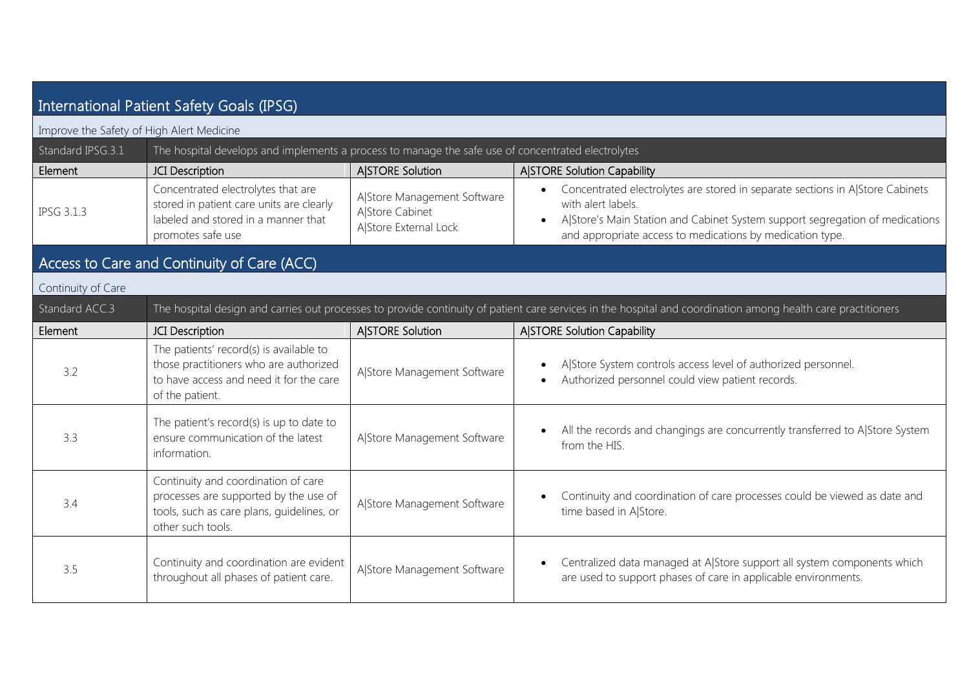| International Patient Safety Goals (IPSG) |                                                                                                                                                 |                                                                         |                                                                                                                                                                                                                                                  |
|-------------------------------------------|-------------------------------------------------------------------------------------------------------------------------------------------------|-------------------------------------------------------------------------|--------------------------------------------------------------------------------------------------------------------------------------------------------------------------------------------------------------------------------------------------|
| Improve the Safety of High Alert Medicine |                                                                                                                                                 |                                                                         |                                                                                                                                                                                                                                                  |
| Standard IPSG.3.1                         | The hospital develops and implements a process to manage the safe use of concentrated electrolytes                                              |                                                                         |                                                                                                                                                                                                                                                  |
| Element                                   | JCI Description                                                                                                                                 | <b>A STORE Solution</b>                                                 | <b>A STORE Solution Capability</b>                                                                                                                                                                                                               |
| <b>IPSG 3.1.3</b>                         | Concentrated electrolytes that are<br>stored in patient care units are clearly<br>labeled and stored in a manner that<br>promotes safe use      | A Store Management Software<br>A Store Cabinet<br>A Store External Lock | Concentrated electrolytes are stored in separate sections in A Store Cabinets<br>with alert labels.<br>AlStore's Main Station and Cabinet System support segregation of medications<br>and appropriate access to medications by medication type. |
|                                           | Access to Care and Continuity of Care (ACC)                                                                                                     |                                                                         |                                                                                                                                                                                                                                                  |
| Continuity of Care                        |                                                                                                                                                 |                                                                         |                                                                                                                                                                                                                                                  |
| Standard ACC.3                            |                                                                                                                                                 |                                                                         | The hospital design and carries out processes to provide continuity of patient care services in the hospital and coordination among health care practitioners                                                                                    |
| Element                                   | JCI Description                                                                                                                                 | A STORE Solution                                                        | A STORE Solution Capability                                                                                                                                                                                                                      |
| 3.2                                       | The patients' record(s) is available to<br>those practitioners who are authorized<br>to have access and need it for the care<br>of the patient. | A Store Management Software                                             | AlStore System controls access level of authorized personnel.<br>Authorized personnel could view patient records.                                                                                                                                |
| 3.3                                       | The patient's record(s) is up to date to<br>ensure communication of the latest<br>information.                                                  | A Store Management Software                                             | All the records and changings are concurrently transferred to A Store System<br>from the HIS.                                                                                                                                                    |
| 3.4                                       | Continuity and coordination of care<br>processes are supported by the use of<br>tools, such as care plans, quidelines, or<br>other such tools.  | A Store Management Software                                             | Continuity and coordination of care processes could be viewed as date and<br>time based in A Store.                                                                                                                                              |
| 3.5                                       | Continuity and coordination are evident<br>throughout all phases of patient care.                                                               | A Store Management Software                                             | Centralized data managed at A Store support all system components which<br>$\bullet$<br>are used to support phases of care in applicable environments.                                                                                           |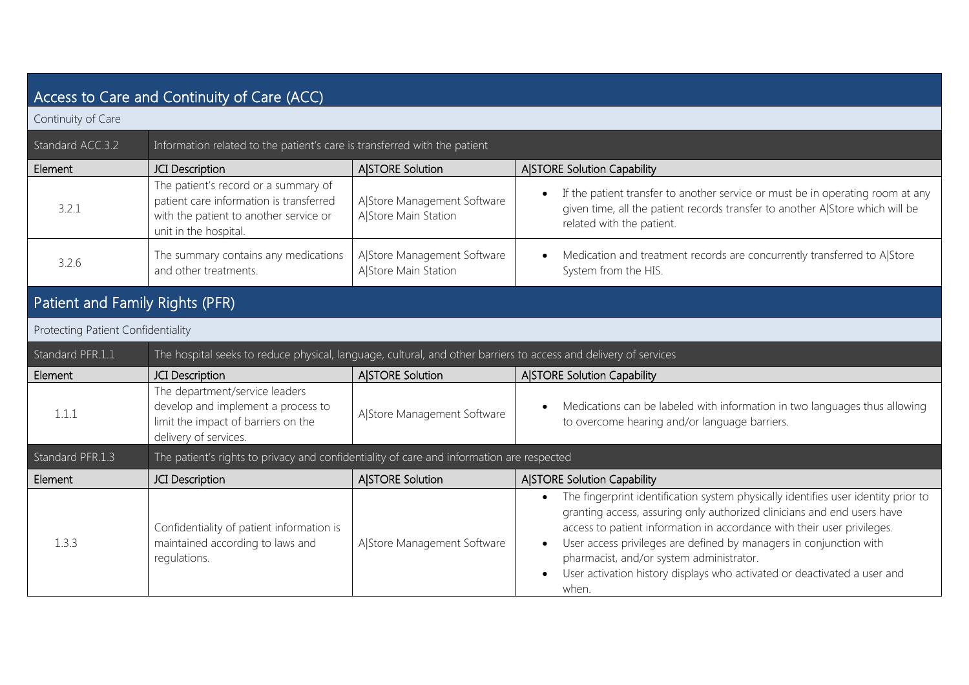| Access to Care and Continuity of Care (ACC) |                                                                                                                                                    |                                                     |                                                                                                                                                                                                                                                                                                                                                                                                                                                              |
|---------------------------------------------|----------------------------------------------------------------------------------------------------------------------------------------------------|-----------------------------------------------------|--------------------------------------------------------------------------------------------------------------------------------------------------------------------------------------------------------------------------------------------------------------------------------------------------------------------------------------------------------------------------------------------------------------------------------------------------------------|
| Continuity of Care                          |                                                                                                                                                    |                                                     |                                                                                                                                                                                                                                                                                                                                                                                                                                                              |
| Standard ACC.3.2                            | Information related to the patient's care is transferred with the patient                                                                          |                                                     |                                                                                                                                                                                                                                                                                                                                                                                                                                                              |
| Element                                     | JCI Description                                                                                                                                    | <b>A STORE Solution</b>                             | A STORE Solution Capability                                                                                                                                                                                                                                                                                                                                                                                                                                  |
| 3.2.1                                       | The patient's record or a summary of<br>patient care information is transferred<br>with the patient to another service or<br>unit in the hospital. | A Store Management Software<br>A Store Main Station | If the patient transfer to another service or must be in operating room at any<br>$\bullet$<br>given time, all the patient records transfer to another A Store which will be<br>related with the patient.                                                                                                                                                                                                                                                    |
| 3.2.6                                       | The summary contains any medications<br>and other treatments.                                                                                      | A Store Management Software<br>A Store Main Station | Medication and treatment records are concurrently transferred to A Store<br>System from the HIS.                                                                                                                                                                                                                                                                                                                                                             |
| Patient and Family Rights (PFR)             |                                                                                                                                                    |                                                     |                                                                                                                                                                                                                                                                                                                                                                                                                                                              |
| Protecting Patient Confidentiality          |                                                                                                                                                    |                                                     |                                                                                                                                                                                                                                                                                                                                                                                                                                                              |
| Standard PFR.1.1                            | The hospital seeks to reduce physical, language, cultural, and other barriers to access and delivery of services                                   |                                                     |                                                                                                                                                                                                                                                                                                                                                                                                                                                              |
| Element                                     | <b>JCI</b> Description                                                                                                                             | A STORE Solution                                    | A STORE Solution Capability                                                                                                                                                                                                                                                                                                                                                                                                                                  |
| 1.1.1                                       | The department/service leaders<br>develop and implement a process to<br>limit the impact of barriers on the<br>delivery of services.               | A Store Management Software                         | Medications can be labeled with information in two languages thus allowing<br>to overcome hearing and/or language barriers.                                                                                                                                                                                                                                                                                                                                  |
| Standard PFR.1.3                            | The patient's rights to privacy and confidentiality of care and information are respected                                                          |                                                     |                                                                                                                                                                                                                                                                                                                                                                                                                                                              |
| Element                                     | JCI Description                                                                                                                                    | A STORE Solution                                    | A STORE Solution Capability                                                                                                                                                                                                                                                                                                                                                                                                                                  |
| 1.3.3                                       | Confidentiality of patient information is<br>maintained according to laws and<br>regulations.                                                      | A Store Management Software                         | The fingerprint identification system physically identifies user identity prior to<br>$\bullet$<br>granting access, assuring only authorized clinicians and end users have<br>access to patient information in accordance with their user privileges.<br>User access privileges are defined by managers in conjunction with<br>pharmacist, and/or system administrator.<br>User activation history displays who activated or deactivated a user and<br>when. |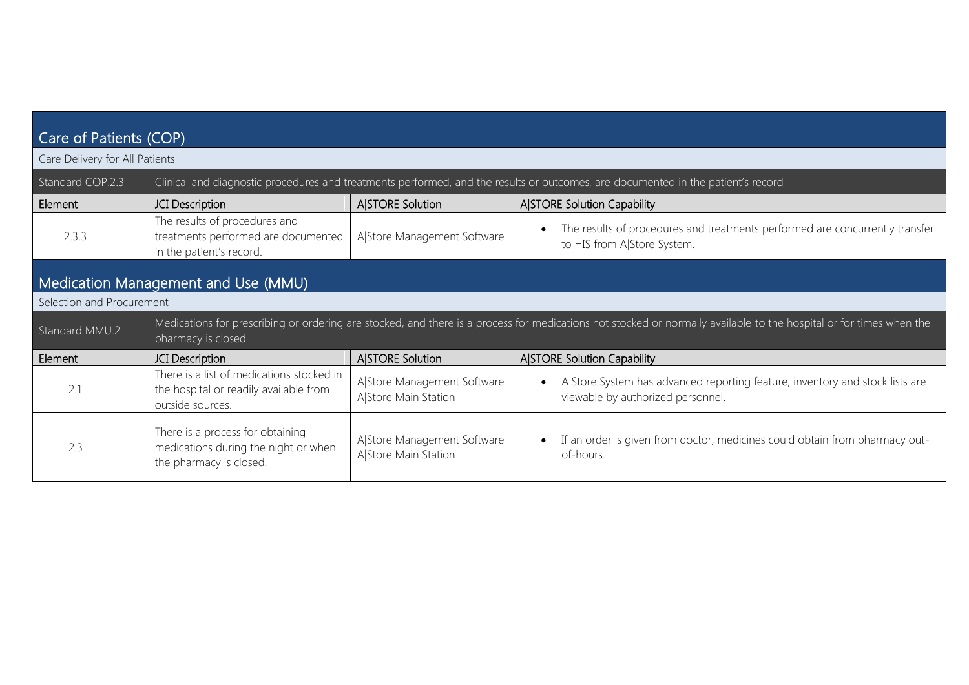| Care of Patients (COP)         |                                                                                                                                  |                                                     |                                                                                                                                                                     |  |
|--------------------------------|----------------------------------------------------------------------------------------------------------------------------------|-----------------------------------------------------|---------------------------------------------------------------------------------------------------------------------------------------------------------------------|--|
| Care Delivery for All Patients |                                                                                                                                  |                                                     |                                                                                                                                                                     |  |
| Standard COP.2.3               | Clinical and diagnostic procedures and treatments performed, and the results or outcomes, are documented in the patient's record |                                                     |                                                                                                                                                                     |  |
| Element                        | JCI Description                                                                                                                  | A STORE Solution                                    | A STORE Solution Capability                                                                                                                                         |  |
| 2.3.3                          | The results of procedures and<br>treatments performed are documented<br>in the patient's record.                                 | A Store Management Software                         | The results of procedures and treatments performed are concurrently transfer<br>to HIS from A Store System.                                                         |  |
|                                | Medication Management and Use (MMU)                                                                                              |                                                     |                                                                                                                                                                     |  |
| Selection and Procurement      |                                                                                                                                  |                                                     |                                                                                                                                                                     |  |
| Standard MMU.2                 | pharmacy is closed                                                                                                               |                                                     | Medications for prescribing or ordering are stocked, and there is a process for medications not stocked or normally available to the hospital or for times when the |  |
| Element                        | JCI Description                                                                                                                  | <b>A STORE Solution</b>                             | A STORE Solution Capability                                                                                                                                         |  |
| 2.1                            | There is a list of medications stocked in<br>the hospital or readily available from<br>outside sources.                          | A Store Management Software<br>A Store Main Station | A Store System has advanced reporting feature, inventory and stock lists are<br>viewable by authorized personnel.                                                   |  |
| 2.3                            | There is a process for obtaining<br>medications during the night or when<br>the pharmacy is closed.                              | A Store Management Software<br>A Store Main Station | If an order is given from doctor, medicines could obtain from pharmacy out-<br>of-hours.                                                                            |  |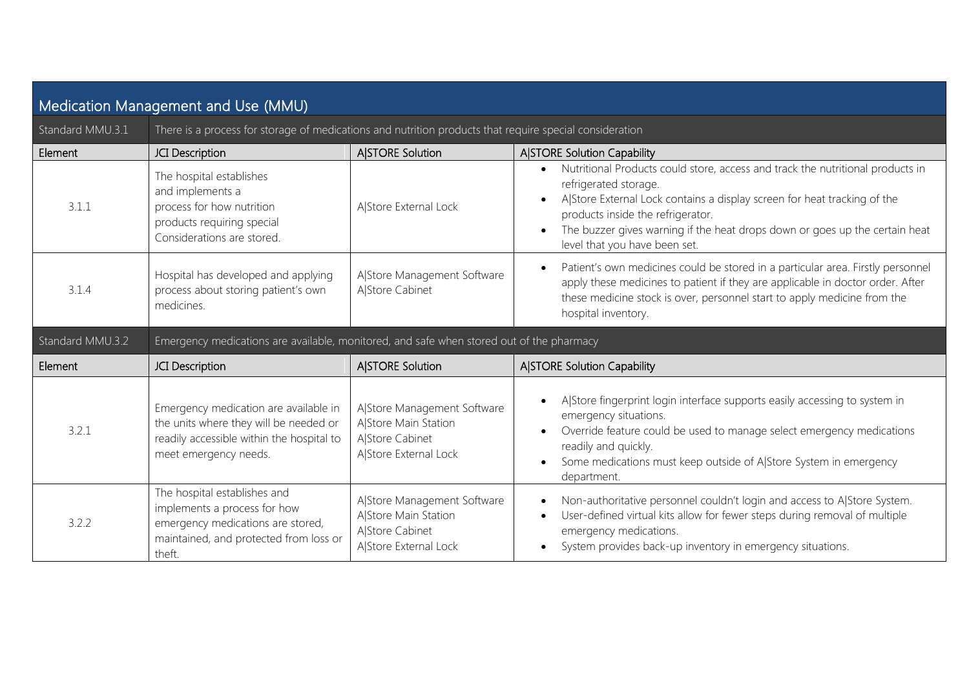| Medication Management and Use (MMU) |                                                                                                                                                       |                                                                                                 |                                                                                                                                                                                                                                                                                                                                          |  |
|-------------------------------------|-------------------------------------------------------------------------------------------------------------------------------------------------------|-------------------------------------------------------------------------------------------------|------------------------------------------------------------------------------------------------------------------------------------------------------------------------------------------------------------------------------------------------------------------------------------------------------------------------------------------|--|
| Standard MMU.3.1                    | There is a process for storage of medications and nutrition products that require special consideration                                               |                                                                                                 |                                                                                                                                                                                                                                                                                                                                          |  |
| Element                             | JCI Description                                                                                                                                       | A STORE Solution                                                                                | A STORE Solution Capability                                                                                                                                                                                                                                                                                                              |  |
| 3.1.1                               | The hospital establishes<br>and implements a<br>process for how nutrition<br>products requiring special<br>Considerations are stored.                 | A Store External Lock                                                                           | Nutritional Products could store, access and track the nutritional products in<br>refrigerated storage.<br>AlStore External Lock contains a display screen for heat tracking of the<br>products inside the refrigerator.<br>The buzzer gives warning if the heat drops down or goes up the certain heat<br>level that you have been set. |  |
| 3.1.4                               | Hospital has developed and applying<br>process about storing patient's own<br>medicines.                                                              | A Store Management Software<br>A Store Cabinet                                                  | Patient's own medicines could be stored in a particular area. Firstly personnel<br>apply these medicines to patient if they are applicable in doctor order. After<br>these medicine stock is over, personnel start to apply medicine from the<br>hospital inventory.                                                                     |  |
| Standard MMU.3.2                    | Emergency medications are available, monitored, and safe when stored out of the pharmacy                                                              |                                                                                                 |                                                                                                                                                                                                                                                                                                                                          |  |
|                                     |                                                                                                                                                       |                                                                                                 |                                                                                                                                                                                                                                                                                                                                          |  |
| Element                             | JCI Description                                                                                                                                       | A STORE Solution                                                                                | <b>A STORE Solution Capability</b>                                                                                                                                                                                                                                                                                                       |  |
| 3.2.1                               | Emergency medication are available in<br>the units where they will be needed or<br>readily accessible within the hospital to<br>meet emergency needs. | A Store Management Software<br>A Store Main Station<br>A Store Cabinet<br>A Store External Lock | AlStore fingerprint login interface supports easily accessing to system in<br>emergency situations.<br>Override feature could be used to manage select emergency medications<br>readily and quickly.<br>Some medications must keep outside of A Store System in emergency<br>department.                                                 |  |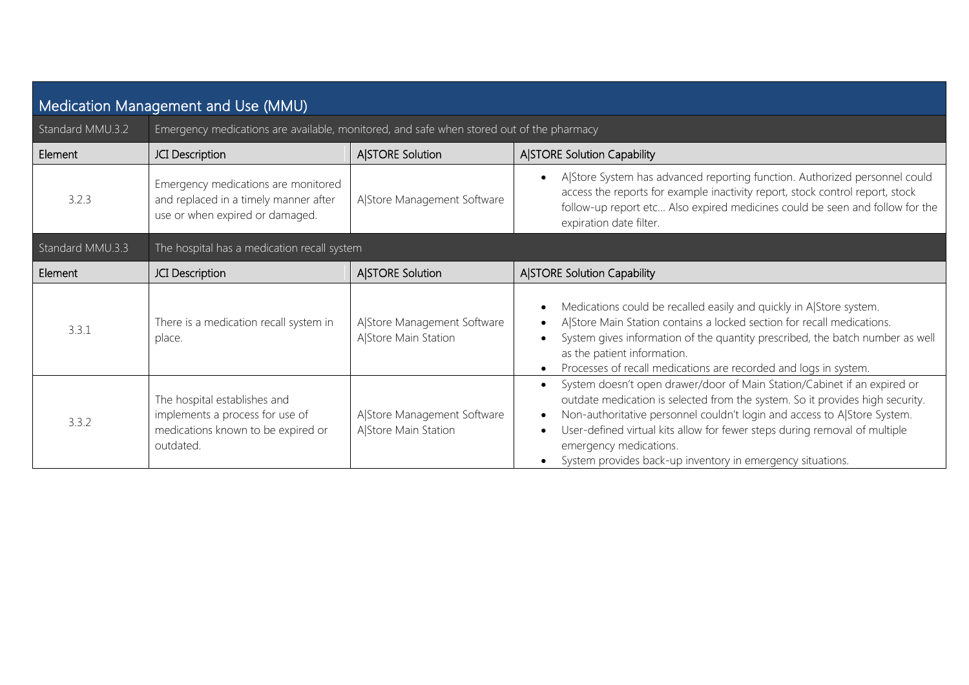| Medication Management and Use (MMU) |                                                                                                                    |                                                     |                                                                                                                                                                                                                                                                                                                                                                                                             |  |
|-------------------------------------|--------------------------------------------------------------------------------------------------------------------|-----------------------------------------------------|-------------------------------------------------------------------------------------------------------------------------------------------------------------------------------------------------------------------------------------------------------------------------------------------------------------------------------------------------------------------------------------------------------------|--|
| Standard MMU.3.2                    | Emergency medications are available, monitored, and safe when stored out of the pharmacy                           |                                                     |                                                                                                                                                                                                                                                                                                                                                                                                             |  |
| Element                             | JCI Description                                                                                                    | A STORE Solution                                    | <b>A STORE Solution Capability</b>                                                                                                                                                                                                                                                                                                                                                                          |  |
| 3.2.3                               | Emergency medications are monitored<br>and replaced in a timely manner after<br>use or when expired or damaged.    | A Store Management Software                         | A Store System has advanced reporting function. Authorized personnel could<br>access the reports for example inactivity report, stock control report, stock<br>follow-up report etc Also expired medicines could be seen and follow for the<br>expiration date filter.                                                                                                                                      |  |
| Standard MMU.3.3                    | The hospital has a medication recall system                                                                        |                                                     |                                                                                                                                                                                                                                                                                                                                                                                                             |  |
| Element                             | JCI Description                                                                                                    | A STORE Solution                                    | <b>A STORE Solution Capability</b>                                                                                                                                                                                                                                                                                                                                                                          |  |
| 3.3.1                               | There is a medication recall system in<br>place.                                                                   | A Store Management Software<br>A Store Main Station | Medications could be recalled easily and quickly in AlStore system.<br>A Store Main Station contains a locked section for recall medications.<br>System gives information of the quantity prescribed, the batch number as well<br>as the patient information.<br>Processes of recall medications are recorded and logs in system.                                                                           |  |
| 3.3.2                               | The hospital establishes and<br>implements a process for use of<br>medications known to be expired or<br>outdated. | A Store Management Software<br>A Store Main Station | System doesn't open drawer/door of Main Station/Cabinet if an expired or<br>outdate medication is selected from the system. So it provides high security.<br>Non-authoritative personnel couldn't login and access to A Store System.<br>User-defined virtual kits allow for fewer steps during removal of multiple<br>emergency medications.<br>System provides back-up inventory in emergency situations. |  |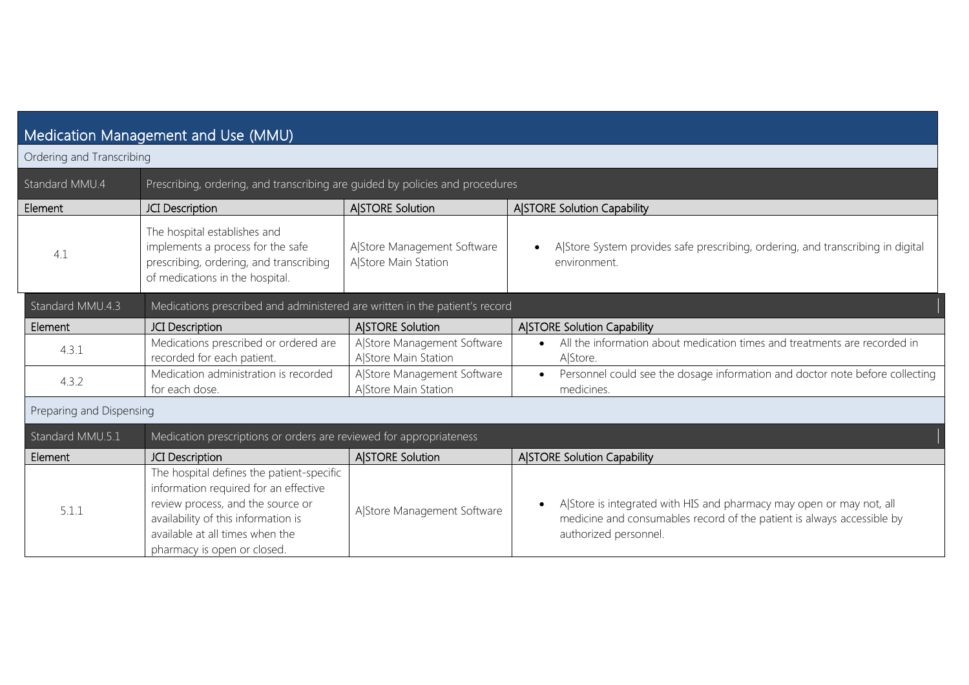| Medication Management and Use (MMU) |                                                                                                                                                                                                                                  |                                                     |                                                                                                                                                                         |  |
|-------------------------------------|----------------------------------------------------------------------------------------------------------------------------------------------------------------------------------------------------------------------------------|-----------------------------------------------------|-------------------------------------------------------------------------------------------------------------------------------------------------------------------------|--|
| Ordering and Transcribing           |                                                                                                                                                                                                                                  |                                                     |                                                                                                                                                                         |  |
|                                     |                                                                                                                                                                                                                                  |                                                     |                                                                                                                                                                         |  |
| Standard MMU.4                      | Prescribing, ordering, and transcribing are guided by policies and procedures                                                                                                                                                    |                                                     |                                                                                                                                                                         |  |
| Element                             | JCI Description                                                                                                                                                                                                                  | <b>A</b> ISTORE Solution                            | <b>A STORE Solution Capability</b>                                                                                                                                      |  |
| 4.1                                 | The hospital establishes and<br>implements a process for the safe<br>prescribing, ordering, and transcribing<br>of medications in the hospital.                                                                                  | A Store Management Software<br>A Store Main Station | A Store System provides safe prescribing, ordering, and transcribing in digital<br>environment.                                                                         |  |
| Standard MMU.4.3                    | Medications prescribed and administered are written in the patient's record                                                                                                                                                      |                                                     |                                                                                                                                                                         |  |
| Element                             | <b>JCI</b> Description                                                                                                                                                                                                           | <b>A STORE Solution</b>                             | <b>A STORE Solution Capability</b>                                                                                                                                      |  |
| 4.3.1                               | Medications prescribed or ordered are<br>recorded for each patient.                                                                                                                                                              | A Store Management Software<br>AlStore Main Station | All the information about medication times and treatments are recorded in<br>A Store.                                                                                   |  |
| 4.3.2                               | Medication administration is recorded<br>for each dose.                                                                                                                                                                          | A Store Management Software<br>AlStore Main Station | Personnel could see the dosage information and doctor note before collecting<br>medicines.                                                                              |  |
| Preparing and Dispensing            |                                                                                                                                                                                                                                  |                                                     |                                                                                                                                                                         |  |
| Standard MMU.5.1                    | Medication prescriptions or orders are reviewed for appropriateness                                                                                                                                                              |                                                     |                                                                                                                                                                         |  |
| Element                             | <b>JCI</b> Description                                                                                                                                                                                                           | <b>A STORE Solution</b>                             | <b>A STORE Solution Capability</b>                                                                                                                                      |  |
| 5.1.1                               | The hospital defines the patient-specific<br>information required for an effective<br>review process, and the source or<br>availability of this information is<br>available at all times when the<br>pharmacy is open or closed. | A Store Management Software                         | A Store is integrated with HIS and pharmacy may open or may not, all<br>medicine and consumables record of the patient is always accessible by<br>authorized personnel. |  |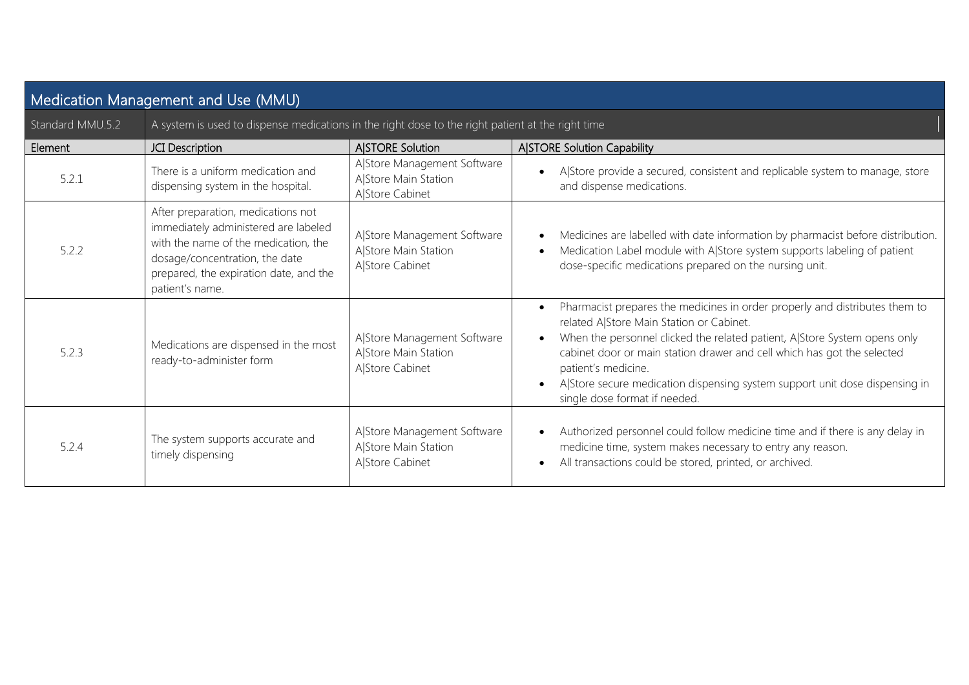| Medication Management and Use (MMU) |                                                                                                                                                                                                                   |                                                                        |                                                                                                                                                                                                                                                                                                                                                                                                                        |
|-------------------------------------|-------------------------------------------------------------------------------------------------------------------------------------------------------------------------------------------------------------------|------------------------------------------------------------------------|------------------------------------------------------------------------------------------------------------------------------------------------------------------------------------------------------------------------------------------------------------------------------------------------------------------------------------------------------------------------------------------------------------------------|
| Standard MMU.5.2                    | A system is used to dispense medications in the right dose to the right patient at the right time                                                                                                                 |                                                                        |                                                                                                                                                                                                                                                                                                                                                                                                                        |
| Element                             | JCI Description                                                                                                                                                                                                   | <b>A STORE Solution</b>                                                | <b>A STORE Solution Capability</b>                                                                                                                                                                                                                                                                                                                                                                                     |
| 5.2.1                               | There is a uniform medication and<br>dispensing system in the hospital.                                                                                                                                           | A Store Management Software<br>A Store Main Station<br>A Store Cabinet | A Store provide a secured, consistent and replicable system to manage, store<br>and dispense medications.                                                                                                                                                                                                                                                                                                              |
| 5.2.2                               | After preparation, medications not<br>immediately administered are labeled<br>with the name of the medication, the<br>dosage/concentration, the date<br>prepared, the expiration date, and the<br>patient's name. | A Store Management Software<br>A Store Main Station<br>A Store Cabinet | Medicines are labelled with date information by pharmacist before distribution.<br>Medication Label module with A Store system supports labeling of patient<br>dose-specific medications prepared on the nursing unit.                                                                                                                                                                                                 |
| 5.2.3                               | Medications are dispensed in the most<br>ready-to-administer form                                                                                                                                                 | A Store Management Software<br>A Store Main Station<br>A Store Cabinet | Pharmacist prepares the medicines in order properly and distributes them to<br>related A Store Main Station or Cabinet.<br>When the personnel clicked the related patient, A Store System opens only<br>cabinet door or main station drawer and cell which has got the selected<br>patient's medicine.<br>A Store secure medication dispensing system support unit dose dispensing in<br>single dose format if needed. |
| 5.2.4                               | The system supports accurate and<br>timely dispensing                                                                                                                                                             | A Store Management Software<br>A Store Main Station<br>A Store Cabinet | Authorized personnel could follow medicine time and if there is any delay in<br>medicine time, system makes necessary to entry any reason.<br>All transactions could be stored, printed, or archived.                                                                                                                                                                                                                  |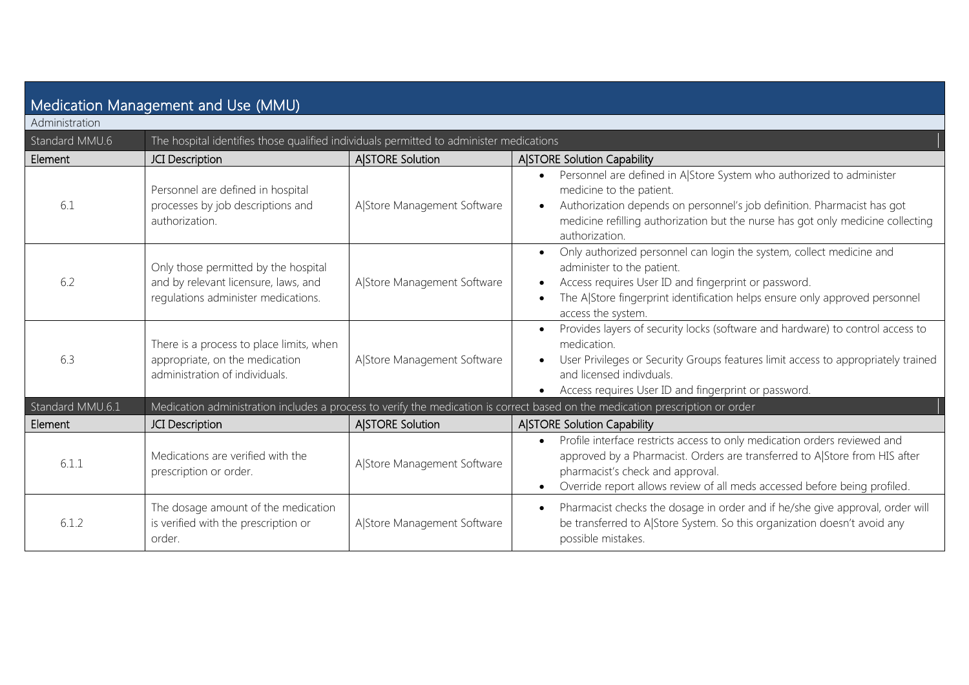| Medication Management and Use (MMU) |                                                                                                                     |                             |                                                                                                                                                                                                                                                                                  |
|-------------------------------------|---------------------------------------------------------------------------------------------------------------------|-----------------------------|----------------------------------------------------------------------------------------------------------------------------------------------------------------------------------------------------------------------------------------------------------------------------------|
| Administration                      |                                                                                                                     |                             |                                                                                                                                                                                                                                                                                  |
| Standard MMU.6                      | The hospital identifies those qualified individuals permitted to administer medications                             |                             |                                                                                                                                                                                                                                                                                  |
| Element                             | JCI Description                                                                                                     | <b>A STORE Solution</b>     | A STORE Solution Capability                                                                                                                                                                                                                                                      |
| 6.1                                 | Personnel are defined in hospital<br>processes by job descriptions and<br>authorization.                            | A Store Management Software | Personnel are defined in A Store System who authorized to administer<br>medicine to the patient.<br>Authorization depends on personnel's job definition. Pharmacist has got<br>medicine refilling authorization but the nurse has got only medicine collecting<br>authorization. |
| 6.2                                 | Only those permitted by the hospital<br>and by relevant licensure, laws, and<br>regulations administer medications. | A Store Management Software | Only authorized personnel can login the system, collect medicine and<br>$\bullet$<br>administer to the patient.<br>Access requires User ID and fingerprint or password.<br>The A Store fingerprint identification helps ensure only approved personnel<br>access the system.     |
| 6.3                                 | There is a process to place limits, when<br>appropriate, on the medication<br>administration of individuals.        | A Store Management Software | Provides layers of security locks (software and hardware) to control access to<br>medication.<br>User Privileges or Security Groups features limit access to appropriately trained<br>and licensed indivduals.<br>Access requires User ID and fingerprint or password.           |
| Standard MMU.6.1                    |                                                                                                                     |                             | Medication administration includes a process to verify the medication is correct based on the medication prescription or order                                                                                                                                                   |
| Element                             | JCI Description                                                                                                     | <b>A</b> ISTORE Solution    | A STORE Solution Capability                                                                                                                                                                                                                                                      |
| 6.1.1                               | Medications are verified with the<br>prescription or order.                                                         | A Store Management Software | Profile interface restricts access to only medication orders reviewed and<br>approved by a Pharmacist. Orders are transferred to A Store from HIS after<br>pharmacist's check and approval.<br>Override report allows review of all meds accessed before being profiled.         |
| 6.1.2                               | The dosage amount of the medication<br>is verified with the prescription or<br>order.                               | A Store Management Software | Pharmacist checks the dosage in order and if he/she give approval, order will<br>be transferred to A Store System. So this organization doesn't avoid any<br>possible mistakes.                                                                                                  |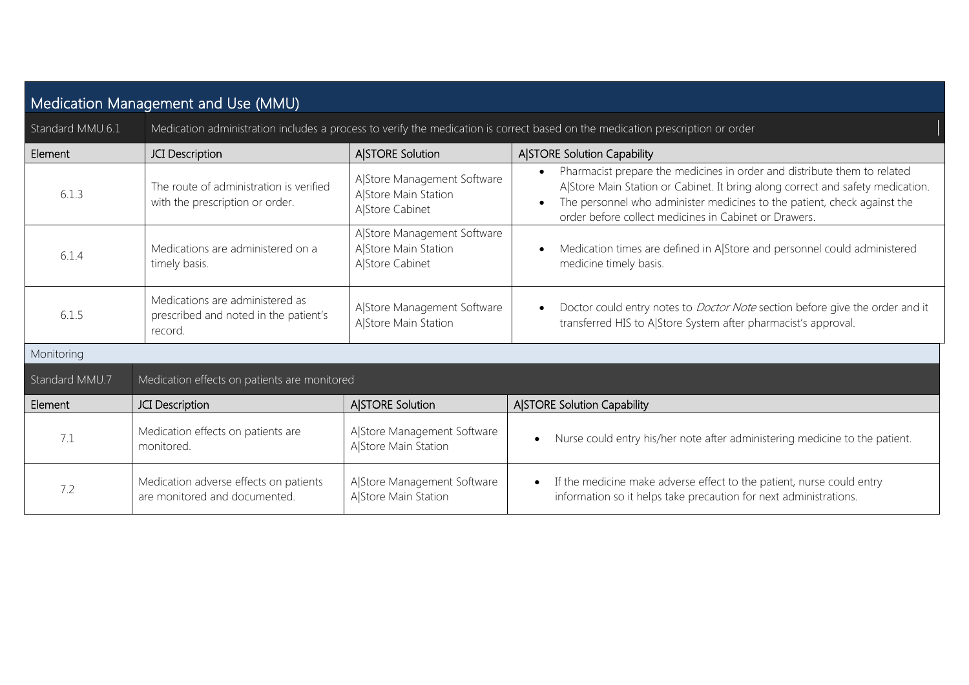| Medication Management and Use (MMU) |                                                                                     |                                                                                                                                |                                                                                                                                                                                                                                                                                                 |  |
|-------------------------------------|-------------------------------------------------------------------------------------|--------------------------------------------------------------------------------------------------------------------------------|-------------------------------------------------------------------------------------------------------------------------------------------------------------------------------------------------------------------------------------------------------------------------------------------------|--|
| Standard MMU.6.1                    |                                                                                     | Medication administration includes a process to verify the medication is correct based on the medication prescription or order |                                                                                                                                                                                                                                                                                                 |  |
| Element                             | JCI Description                                                                     | A STORE Solution                                                                                                               | <b>A STORE Solution Capability</b>                                                                                                                                                                                                                                                              |  |
| 6.1.3                               | The route of administration is verified<br>with the prescription or order.          | A Store Management Software<br>A Store Main Station<br>A Store Cabinet                                                         | Pharmacist prepare the medicines in order and distribute them to related<br>A Store Main Station or Cabinet. It bring along correct and safety medication.<br>The personnel who administer medicines to the patient, check against the<br>order before collect medicines in Cabinet or Drawers. |  |
| 6.1.4                               | Medications are administered on a<br>timely basis.                                  | A Store Management Software<br>A Store Main Station<br>A Store Cabinet                                                         | Medication times are defined in A Store and personnel could administered<br>medicine timely basis.                                                                                                                                                                                              |  |
| 6.1.5                               | Medications are administered as<br>prescribed and noted in the patient's<br>record. | A Store Management Software<br>A Store Main Station                                                                            | Doctor could entry notes to <i>Doctor Note</i> section before give the order and it<br>transferred HIS to A Store System after pharmacist's approval.                                                                                                                                           |  |
| Monitoring                          |                                                                                     |                                                                                                                                |                                                                                                                                                                                                                                                                                                 |  |
| Standard MMU.7                      | Medication effects on patients are monitored                                        |                                                                                                                                |                                                                                                                                                                                                                                                                                                 |  |
| Element                             | JCI Description                                                                     | A STORE Solution                                                                                                               | <b>A</b> STORE Solution Capability                                                                                                                                                                                                                                                              |  |
| 7.1                                 | Medication effects on patients are<br>monitored.                                    | A Store Management Software<br>A Store Main Station                                                                            | Nurse could entry his/her note after administering medicine to the patient.<br>$\bullet$                                                                                                                                                                                                        |  |
| 7.2                                 | Medication adverse effects on patients<br>are monitored and documented.             | A Store Management Software<br>A Store Main Station                                                                            | If the medicine make adverse effect to the patient, nurse could entry<br>$\bullet$<br>information so it helps take precaution for next administrations.                                                                                                                                         |  |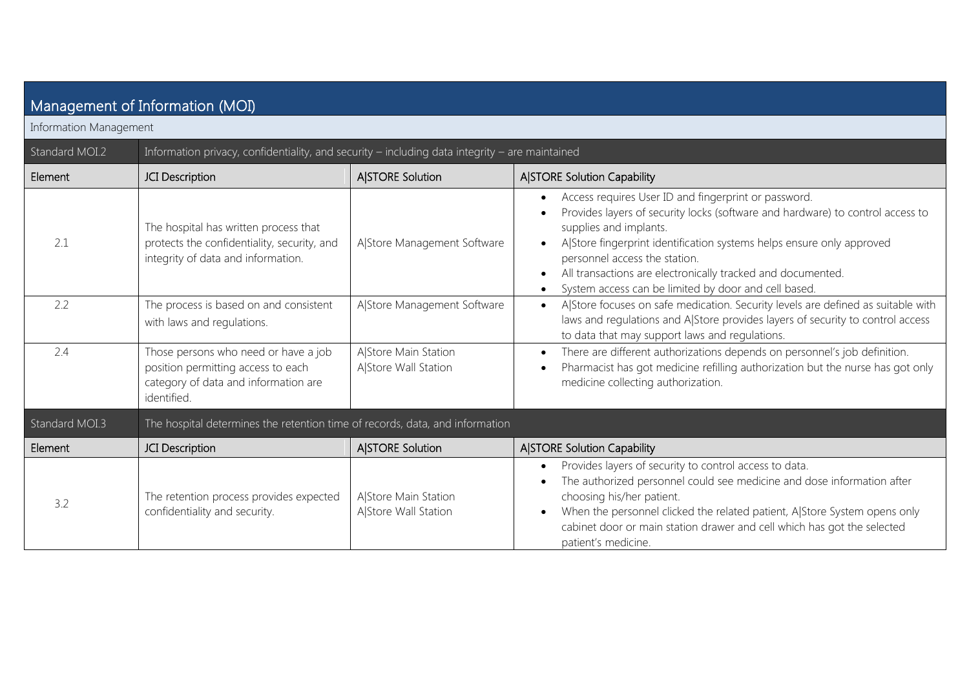| Management of Information (MOI) |                                                                                                                                   |                                              |                                                                                                                                                                                                                                                                                                                                                                                                   |  |
|---------------------------------|-----------------------------------------------------------------------------------------------------------------------------------|----------------------------------------------|---------------------------------------------------------------------------------------------------------------------------------------------------------------------------------------------------------------------------------------------------------------------------------------------------------------------------------------------------------------------------------------------------|--|
| Information Management          |                                                                                                                                   |                                              |                                                                                                                                                                                                                                                                                                                                                                                                   |  |
| Standard MOI.2                  | Information privacy, confidentiality, and security - including data integrity - are maintained                                    |                                              |                                                                                                                                                                                                                                                                                                                                                                                                   |  |
| Element                         | JCI Description                                                                                                                   | <b>A STORE Solution</b>                      | A STORE Solution Capability                                                                                                                                                                                                                                                                                                                                                                       |  |
| 2.1                             | The hospital has written process that<br>protects the confidentiality, security, and<br>integrity of data and information.        | A Store Management Software                  | Access requires User ID and fingerprint or password.<br>Provides layers of security locks (software and hardware) to control access to<br>supplies and implants.<br>A Store fingerprint identification systems helps ensure only approved<br>personnel access the station.<br>All transactions are electronically tracked and documented.<br>System access can be limited by door and cell based. |  |
| 2.2                             | The process is based on and consistent<br>with laws and regulations.                                                              | A Store Management Software                  | A Store focuses on safe medication. Security levels are defined as suitable with<br>laws and regulations and A Store provides layers of security to control access<br>to data that may support laws and regulations.                                                                                                                                                                              |  |
| 2.4                             | Those persons who need or have a job<br>position permitting access to each<br>category of data and information are<br>identified. | A Store Main Station<br>A Store Wall Station | There are different authorizations depends on personnel's job definition.<br>Pharmacist has got medicine refilling authorization but the nurse has got only<br>medicine collecting authorization.                                                                                                                                                                                                 |  |
| Standard MOI.3                  | The hospital determines the retention time of records, data, and information                                                      |                                              |                                                                                                                                                                                                                                                                                                                                                                                                   |  |
| Element                         | JCI Description                                                                                                                   | <b>A STORE Solution</b>                      | <b>A STORE Solution Capability</b>                                                                                                                                                                                                                                                                                                                                                                |  |
| 3.2                             | The retention process provides expected<br>confidentiality and security.                                                          | A Store Main Station<br>A Store Wall Station | Provides layers of security to control access to data.<br>The authorized personnel could see medicine and dose information after<br>choosing his/her patient.<br>When the personnel clicked the related patient, A Store System opens only<br>cabinet door or main station drawer and cell which has got the selected<br>patient's medicine.                                                      |  |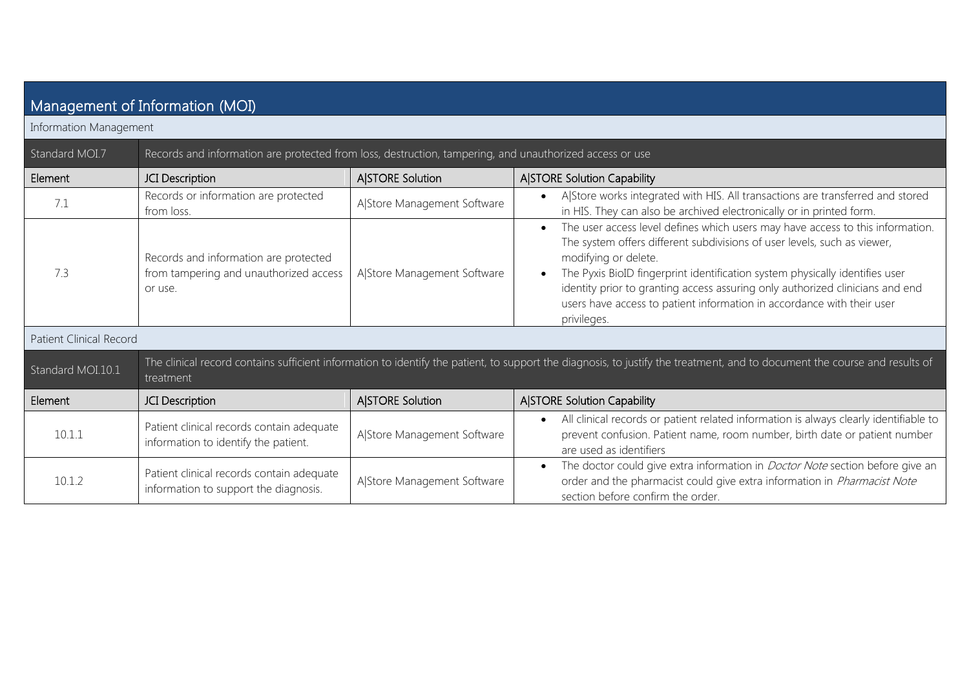| Management of Information (MOI) |                                                                                                                                                                                         |                             |                                                                                                                                                                                                                                                                                                                                                                                                                                              |  |  |
|---------------------------------|-----------------------------------------------------------------------------------------------------------------------------------------------------------------------------------------|-----------------------------|----------------------------------------------------------------------------------------------------------------------------------------------------------------------------------------------------------------------------------------------------------------------------------------------------------------------------------------------------------------------------------------------------------------------------------------------|--|--|
| Information Management          |                                                                                                                                                                                         |                             |                                                                                                                                                                                                                                                                                                                                                                                                                                              |  |  |
| Standard MOI.7                  | Records and information are protected from loss, destruction, tampering, and unauthorized access or use                                                                                 |                             |                                                                                                                                                                                                                                                                                                                                                                                                                                              |  |  |
| Element                         | JCI Description                                                                                                                                                                         | A STORE Solution            | <b>A STORE Solution Capability</b>                                                                                                                                                                                                                                                                                                                                                                                                           |  |  |
| 7.1                             | Records or information are protected<br>from loss.                                                                                                                                      | A Store Management Software | A Store works integrated with HIS. All transactions are transferred and stored<br>in HIS. They can also be archived electronically or in printed form.                                                                                                                                                                                                                                                                                       |  |  |
| 7.3                             | Records and information are protected<br>from tampering and unauthorized access<br>or use.                                                                                              | A Store Management Software | The user access level defines which users may have access to this information.<br>The system offers different subdivisions of user levels, such as viewer,<br>modifying or delete.<br>The Pyxis BioID fingerprint identification system physically identifies user<br>identity prior to granting access assuring only authorized clinicians and end<br>users have access to patient information in accordance with their user<br>privileges. |  |  |
| <b>Patient Clinical Record</b>  |                                                                                                                                                                                         |                             |                                                                                                                                                                                                                                                                                                                                                                                                                                              |  |  |
| Standard MOI.10.1               | The clinical record contains sufficient information to identify the patient, to support the diagnosis, to justify the treatment, and to document the course and results of<br>treatment |                             |                                                                                                                                                                                                                                                                                                                                                                                                                                              |  |  |
| Element                         | JCI Description                                                                                                                                                                         | A STORE Solution            | <b>A STORE Solution Capability</b>                                                                                                                                                                                                                                                                                                                                                                                                           |  |  |
| 10.1.1                          | Patient clinical records contain adequate<br>information to identify the patient.                                                                                                       | A Store Management Software | All clinical records or patient related information is always clearly identifiable to<br>$\bullet$<br>prevent confusion. Patient name, room number, birth date or patient number<br>are used as identifiers                                                                                                                                                                                                                                  |  |  |
| 10.1.2                          | Patient clinical records contain adequate<br>information to support the diagnosis.                                                                                                      | A Store Management Software | The doctor could give extra information in <i>Doctor Note</i> section before give an<br>$\bullet$<br>order and the pharmacist could give extra information in <i>Pharmacist Note</i><br>section before confirm the order.                                                                                                                                                                                                                    |  |  |